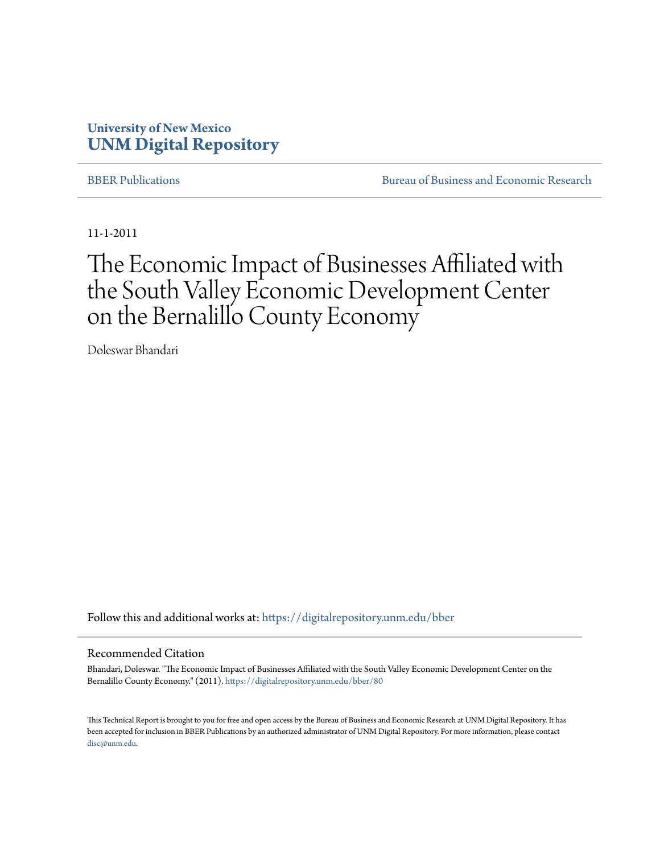#### **University of New Mexico [UNM Digital Repository](https://digitalrepository.unm.edu?utm_source=digitalrepository.unm.edu%2Fbber%2F80&utm_medium=PDF&utm_campaign=PDFCoverPages)**

[BBER Publications](https://digitalrepository.unm.edu/bber?utm_source=digitalrepository.unm.edu%2Fbber%2F80&utm_medium=PDF&utm_campaign=PDFCoverPages) **BUREAU SERVICES** [Bureau of Business and Economic Research](https://digitalrepository.unm.edu/business_economic_research?utm_source=digitalrepository.unm.edu%2Fbber%2F80&utm_medium=PDF&utm_campaign=PDFCoverPages)

11-1-2011

# The Economic Impact of Businesses Affiliated with the South Valley Economic Development Center on the Bernalillo County Economy

Doleswar Bhandari

Follow this and additional works at: [https://digitalrepository.unm.edu/bber](https://digitalrepository.unm.edu/bber?utm_source=digitalrepository.unm.edu%2Fbber%2F80&utm_medium=PDF&utm_campaign=PDFCoverPages)

#### Recommended Citation

Bhandari, Doleswar. "The Economic Impact of Businesses Affiliated with the South Valley Economic Development Center on the Bernalillo County Economy." (2011). [https://digitalrepository.unm.edu/bber/80](https://digitalrepository.unm.edu/bber/80?utm_source=digitalrepository.unm.edu%2Fbber%2F80&utm_medium=PDF&utm_campaign=PDFCoverPages)

This Technical Report is brought to you for free and open access by the Bureau of Business and Economic Research at UNM Digital Repository. It has been accepted for inclusion in BBER Publications by an authorized administrator of UNM Digital Repository. For more information, please contact [disc@unm.edu](mailto:disc@unm.edu).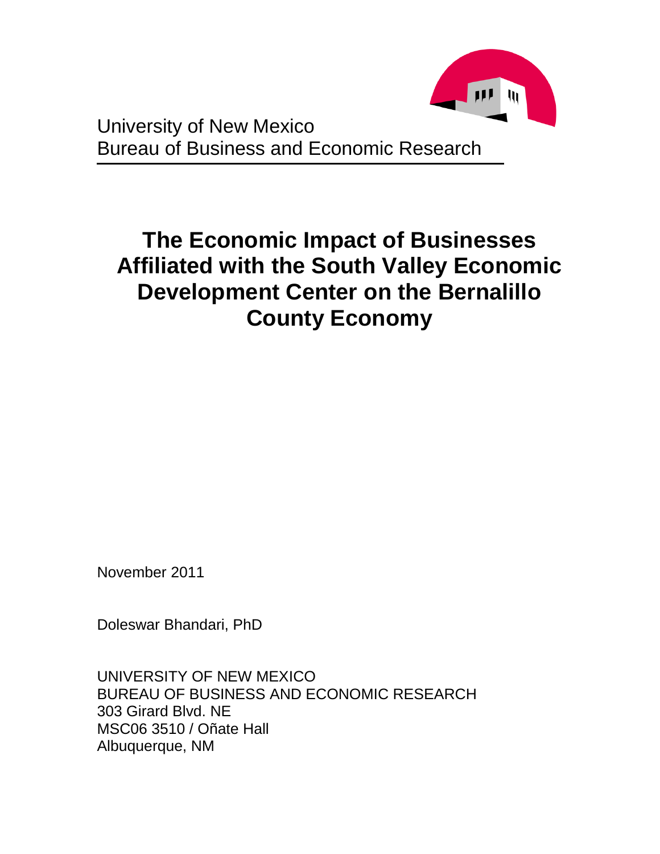

University of New Mexico Bureau of Business and Economic Research

# **The Economic Impact of Businesses Affiliated with the South Valley Economic Development Center on the Bernalillo County Economy**

November 2011

Doleswar Bhandari, PhD

UNIVERSITY OF NEW MEXICO BUREAU OF BUSINESS AND ECONOMIC RESEARCH 303 Girard Blvd. NE MSC06 3510 / Oñate Hall Albuquerque, NM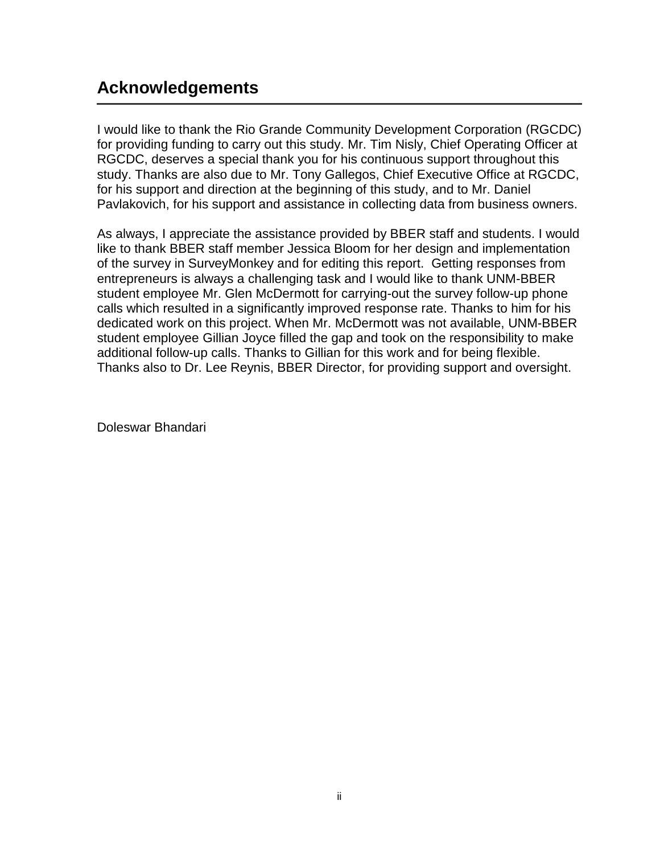# **Acknowledgements**

I would like to thank the Rio Grande Community Development Corporation (RGCDC) for providing funding to carry out this study. Mr. Tim Nisly, Chief Operating Officer at RGCDC, deserves a special thank you for his continuous support throughout this study. Thanks are also due to Mr. Tony Gallegos, Chief Executive Office at RGCDC, for his support and direction at the beginning of this study, and to Mr. Daniel Pavlakovich, for his support and assistance in collecting data from business owners.

As always, I appreciate the assistance provided by BBER staff and students. I would like to thank BBER staff member Jessica Bloom for her design and implementation of the survey in SurveyMonkey and for editing this report. Getting responses from entrepreneurs is always a challenging task and I would like to thank UNM-BBER student employee Mr. Glen McDermott for carrying-out the survey follow-up phone calls which resulted in a significantly improved response rate. Thanks to him for his dedicated work on this project. When Mr. McDermott was not available, UNM-BBER student employee Gillian Joyce filled the gap and took on the responsibility to make additional follow-up calls. Thanks to Gillian for this work and for being flexible. Thanks also to Dr. Lee Reynis, BBER Director, for providing support and oversight.

Doleswar Bhandari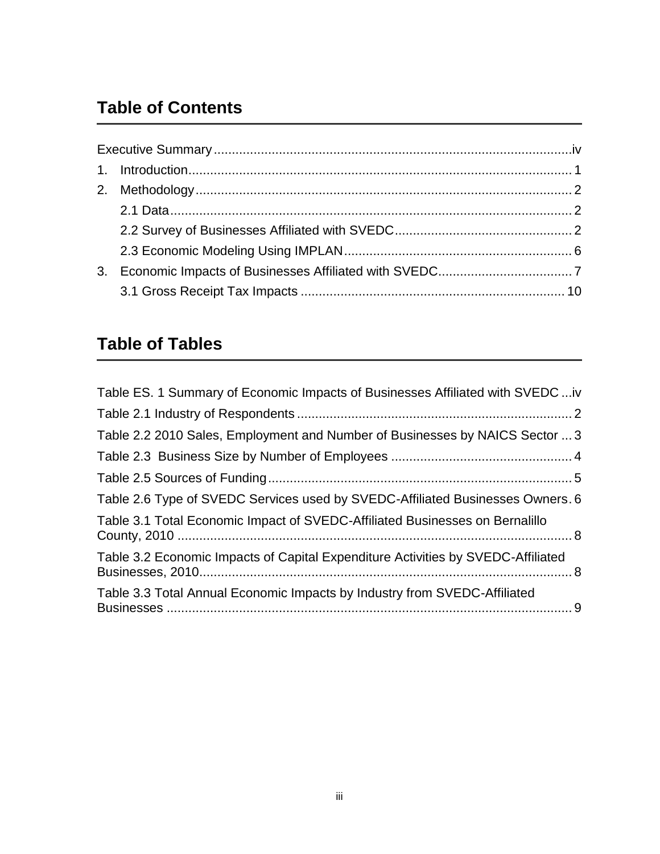# **Table of Contents**

| 3. |  |
|----|--|
|    |  |

# **Table of Tables**

| Table ES. 1 Summary of Economic Impacts of Businesses Affiliated with SVEDC iv   |  |
|----------------------------------------------------------------------------------|--|
|                                                                                  |  |
| Table 2.2 2010 Sales, Employment and Number of Businesses by NAICS Sector  3     |  |
|                                                                                  |  |
|                                                                                  |  |
| Table 2.6 Type of SVEDC Services used by SVEDC-Affiliated Businesses Owners. 6   |  |
| Table 3.1 Total Economic Impact of SVEDC-Affiliated Businesses on Bernalillo     |  |
| Table 3.2 Economic Impacts of Capital Expenditure Activities by SVEDC-Affiliated |  |
| Table 3.3 Total Annual Economic Impacts by Industry from SVEDC-Affiliated        |  |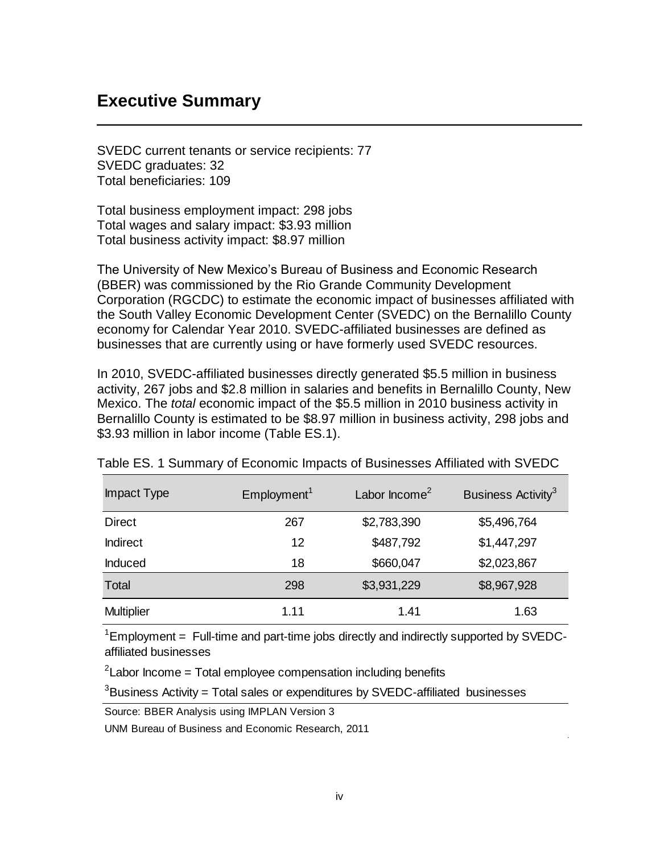#### <span id="page-4-0"></span>**Executive Summary**

SVEDC current tenants or service recipients: 77 SVEDC graduates: 32 Total beneficiaries: 109

Total business employment impact: 298 jobs Total wages and salary impact: \$3.93 million Total business activity impact: \$8.97 million

The University of New Mexico's Bureau of Business and Economic Research (BBER) was commissioned by the Rio Grande Community Development Corporation (RGCDC) to estimate the economic impact of businesses affiliated with the South Valley Economic Development Center (SVEDC) on the Bernalillo County economy for Calendar Year 2010. SVEDC-affiliated businesses are defined as businesses that are currently using or have formerly used SVEDC resources.

In 2010, SVEDC-affiliated businesses directly generated \$5.5 million in business activity, 267 jobs and \$2.8 million in salaries and benefits in Bernalillo County, New Mexico. The *total* economic impact of the \$5.5 million in 2010 business activity in Bernalillo County is estimated to be \$8.97 million in business activity, 298 jobs and \$3.93 million in labor income (Table ES.1).

| Impact Type       | Employment <sup>1</sup> | Labor $lncome2$ | Business Activity <sup>3</sup> |
|-------------------|-------------------------|-----------------|--------------------------------|
| <b>Direct</b>     | 267                     | \$2,783,390     | \$5,496,764                    |
| <b>Indirect</b>   | 12                      | \$487,792       | \$1,447,297                    |
| Induced           | 18                      | \$660,047       | \$2,023,867                    |
| Total             | 298                     | \$3,931,229     | \$8,967,928                    |
| <b>Multiplier</b> | 1.11                    | 1.41            | 1.63                           |

<span id="page-4-1"></span>Table ES. 1 Summary of Economic Impacts of Businesses Affiliated with SVEDC

 $1$ Employment = Full-time and part-time jobs directly and indirectly supported by SVEDCaffiliated businesses

 $2$ Labor Income = Total employee compensation including benefits

 $3B$ usiness Activity = Total sales or expenditures by SVEDC-affiliated businesses

Source: BBER Analysis using IMPLAN Version 3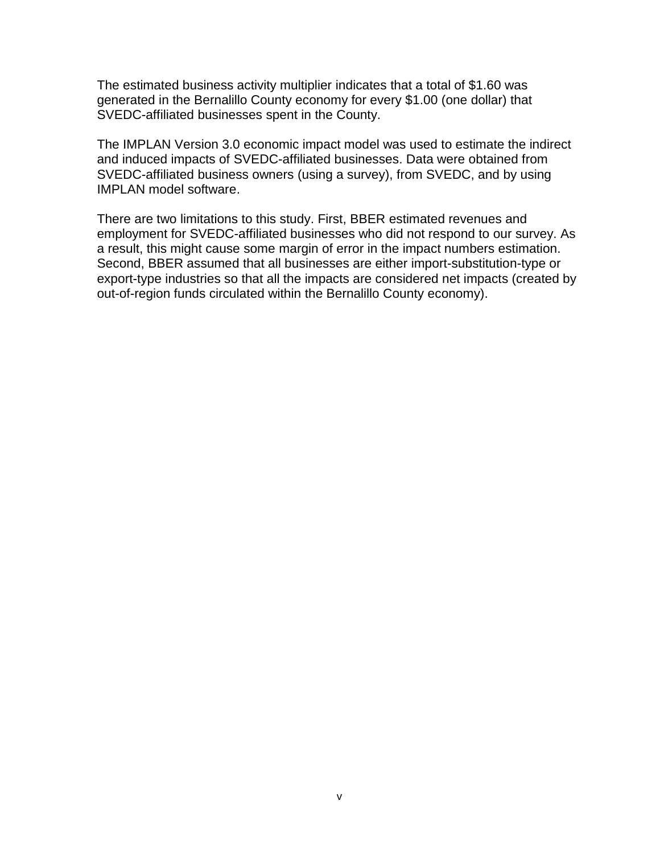The estimated business activity multiplier indicates that a total of \$1.60 was generated in the Bernalillo County economy for every \$1.00 (one dollar) that SVEDC-affiliated businesses spent in the County.

The IMPLAN Version 3.0 economic impact model was used to estimate the indirect and induced impacts of SVEDC-affiliated businesses. Data were obtained from SVEDC-affiliated business owners (using a survey), from SVEDC, and by using IMPLAN model software.

There are two limitations to this study. First, BBER estimated revenues and employment for SVEDC-affiliated businesses who did not respond to our survey. As a result, this might cause some margin of error in the impact numbers estimation. Second, BBER assumed that all businesses are either import-substitution-type or export-type industries so that all the impacts are considered net impacts (created by out-of-region funds circulated within the Bernalillo County economy).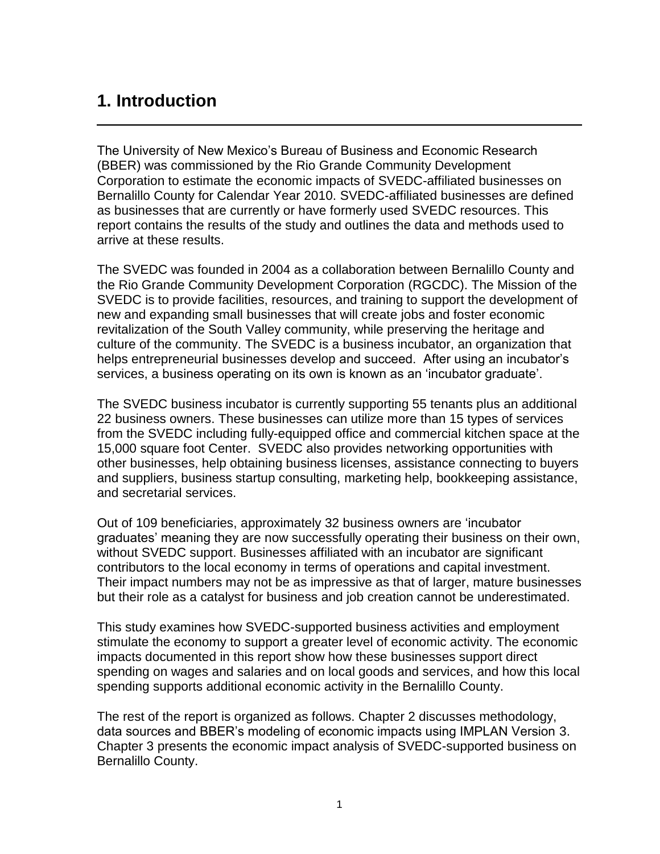## <span id="page-6-0"></span>**1. Introduction**

The University of New Mexico's Bureau of Business and Economic Research (BBER) was commissioned by the Rio Grande Community Development Corporation to estimate the economic impacts of SVEDC-affiliated businesses on Bernalillo County for Calendar Year 2010. SVEDC-affiliated businesses are defined as businesses that are currently or have formerly used SVEDC resources. This report contains the results of the study and outlines the data and methods used to arrive at these results.

The SVEDC was founded in 2004 as a collaboration between Bernalillo County and the Rio Grande Community Development Corporation (RGCDC). The Mission of the SVEDC is to provide facilities, resources, and training to support the development of new and expanding small businesses that will create jobs and foster economic revitalization of the South Valley community, while preserving the heritage and culture of the community. The SVEDC is a business incubator, an organization that helps entrepreneurial businesses develop and succeed. After using an incubator's services, a business operating on its own is known as an 'incubator graduate'.

The SVEDC business incubator is currently supporting 55 tenants plus an additional 22 business owners. These businesses can utilize more than 15 types of services from the SVEDC including fully-equipped office and commercial kitchen space at the 15,000 square foot Center. SVEDC also provides networking opportunities with other businesses, help obtaining business licenses, assistance connecting to buyers and suppliers, business startup consulting, marketing help, bookkeeping assistance, and secretarial services.

Out of 109 beneficiaries, approximately 32 business owners are 'incubator graduates' meaning they are now successfully operating their business on their own, without SVEDC support. Businesses affiliated with an incubator are significant contributors to the local economy in terms of operations and capital investment. Their impact numbers may not be as impressive as that of larger, mature businesses but their role as a catalyst for business and job creation cannot be underestimated.

This study examines how SVEDC-supported business activities and employment stimulate the economy to support a greater level of economic activity. The economic impacts documented in this report show how these businesses support direct spending on wages and salaries and on local goods and services, and how this local spending supports additional economic activity in the Bernalillo County.

The rest of the report is organized as follows. Chapter 2 discusses methodology, data sources and BBER's modeling of economic impacts using IMPLAN Version 3. Chapter 3 presents the economic impact analysis of SVEDC-supported business on Bernalillo County.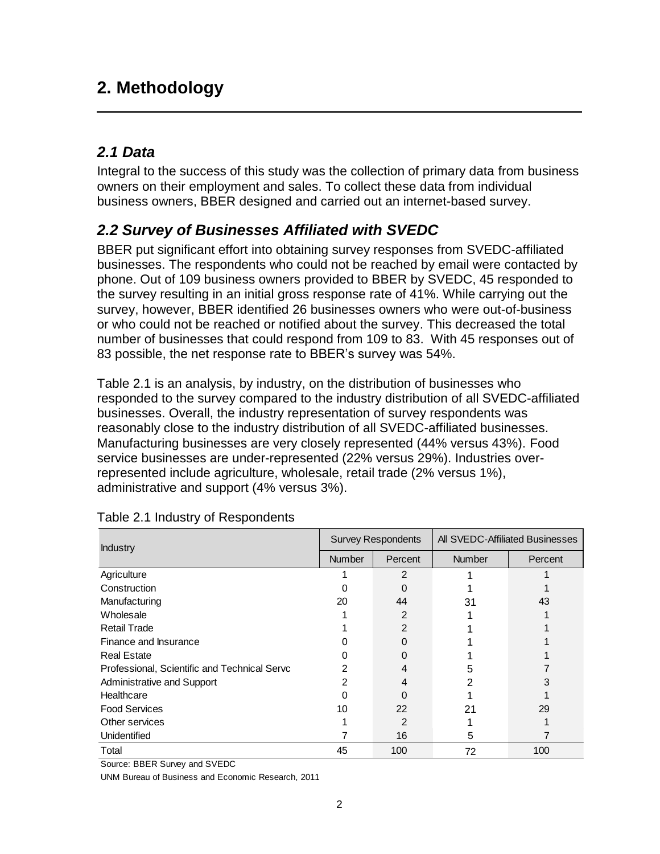## <span id="page-7-0"></span>**2. Methodology**

#### <span id="page-7-1"></span>*2.1 Data*

Integral to the success of this study was the collection of primary data from business owners on their employment and sales. To collect these data from individual business owners, BBER designed and carried out an internet-based survey.

### <span id="page-7-2"></span>*2.2 Survey of Businesses Affiliated with SVEDC*

BBER put significant effort into obtaining survey responses from SVEDC-affiliated businesses. The respondents who could not be reached by email were contacted by phone. Out of 109 business owners provided to BBER by SVEDC, 45 responded to the survey resulting in an initial gross response rate of 41%. While carrying out the survey, however, BBER identified 26 businesses owners who were out-of-business or who could not be reached or notified about the survey. This decreased the total number of businesses that could respond from 109 to 83. With 45 responses out of 83 possible, the net response rate to BBER's survey was 54%.

[Table 2.1](#page-7-3) is an analysis, by industry, on the distribution of businesses who responded to the survey compared to the industry distribution of all SVEDC-affiliated businesses. Overall, the industry representation of survey respondents was reasonably close to the industry distribution of all SVEDC-affiliated businesses. Manufacturing businesses are very closely represented (44% versus 43%). Food service businesses are under-represented (22% versus 29%). Industries overrepresented include agriculture, wholesale, retail trade (2% versus 1%), administrative and support (4% versus 3%).

| <b>Industry</b>                              | <b>Survey Respondents</b> |         | All SVEDC-Affiliated Businesses |         |
|----------------------------------------------|---------------------------|---------|---------------------------------|---------|
|                                              | <b>Number</b>             | Percent | <b>Number</b>                   | Percent |
| Agriculture                                  |                           | 2       |                                 |         |
| Construction                                 |                           |         |                                 |         |
| Manufacturing                                | 20                        | 44      | 31                              | 43      |
| Wholesale                                    |                           | 2       |                                 |         |
| <b>Retail Trade</b>                          |                           | 2       |                                 |         |
| Finance and Insurance                        |                           |         |                                 |         |
| <b>Real Estate</b>                           |                           |         |                                 |         |
| Professional, Scientific and Technical Serve |                           |         | 5                               |         |
| Administrative and Support                   |                           | 4       |                                 |         |
| Healthcare                                   |                           |         |                                 |         |
| <b>Food Services</b>                         | 10                        | 22      | 21                              | 29      |
| Other services                               |                           | 2       |                                 |         |
| Unidentified                                 |                           | 16      | 5                               |         |
| Total                                        | 45                        | 100     | 72                              | 100     |

<span id="page-7-3"></span>

| Table 2.1 Industry of Respondents |  |  |
|-----------------------------------|--|--|

Source: BBER Survey and SVEDC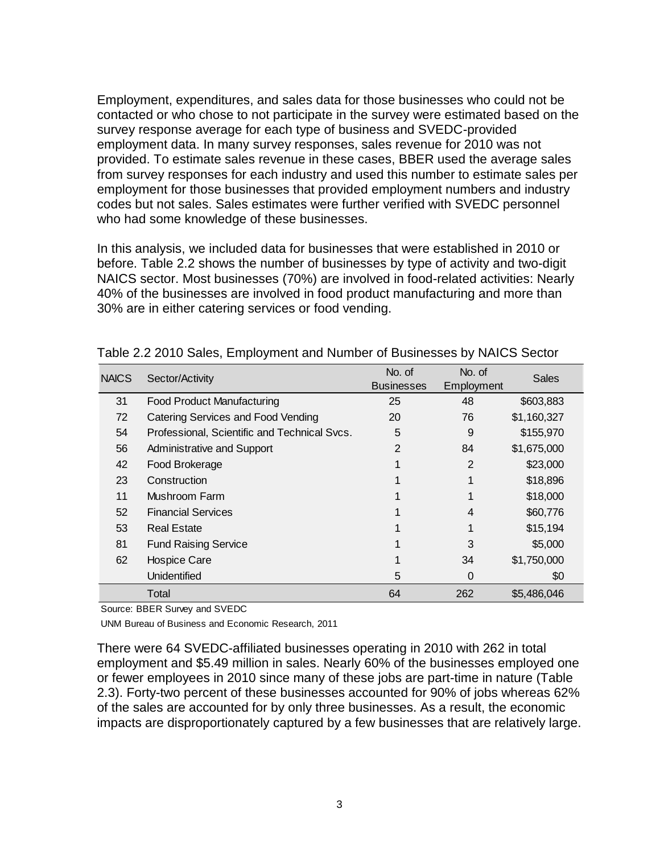Employment, expenditures, and sales data for those businesses who could not be contacted or who chose to not participate in the survey were estimated based on the survey response average for each type of business and SVEDC-provided employment data. In many survey responses, sales revenue for 2010 was not provided. To estimate sales revenue in these cases, BBER used the average sales from survey responses for each industry and used this number to estimate sales per employment for those businesses that provided employment numbers and industry codes but not sales. Sales estimates were further verified with SVEDC personnel who had some knowledge of these businesses.

In this analysis, we included data for businesses that were established in 2010 or before. [Table 2.2](#page-8-0) shows the number of businesses by type of activity and two-digit NAICS sector. Most businesses (70%) are involved in food-related activities: Nearly 40% of the businesses are involved in food product manufacturing and more than 30% are in either catering services or food vending.

| <b>NAICS</b> | Sector/Activity                              | No. of<br><b>Businesses</b> | No. of<br>Employment | <b>Sales</b> |
|--------------|----------------------------------------------|-----------------------------|----------------------|--------------|
| 31           | <b>Food Product Manufacturing</b>            | 25                          | 48                   | \$603,883    |
| 72           | Catering Services and Food Vending           | 20                          | 76                   | \$1,160,327  |
| 54           | Professional, Scientific and Technical Svcs. | 5                           | 9                    | \$155,970    |
| 56           | Administrative and Support                   | $\overline{2}$              | 84                   | \$1,675,000  |
| 42           | Food Brokerage                               |                             | $\overline{2}$       | \$23,000     |
| 23           | Construction                                 |                             |                      | \$18,896     |
| 11           | Mushroom Farm                                |                             |                      | \$18,000     |
| 52           | <b>Financial Services</b>                    |                             | 4                    | \$60,776     |
| 53           | <b>Real Estate</b>                           |                             |                      | \$15,194     |
| 81           | <b>Fund Raising Service</b>                  |                             | 3                    | \$5,000      |
| 62           | <b>Hospice Care</b>                          |                             | 34                   | \$1,750,000  |
|              | Unidentified                                 | 5                           | 0                    | \$0          |
|              | Total                                        | 64                          | 262                  | \$5,486,046  |

<span id="page-8-0"></span>Table 2.2 2010 Sales, Employment and Number of Businesses by NAICS Sector

Source: BBER Survey and SVEDC

UNM Bureau of Business and Economic Research, 2011

There were 64 SVEDC-affiliated businesses operating in 2010 with 262 in total employment and \$5.49 million in sales. Nearly 60% of the businesses employed one or fewer employees in 2010 since many of these jobs are part-time in nature (Table 2.3). Forty-two percent of these businesses accounted for 90% of jobs whereas 62% of the sales are accounted for by only three businesses. As a result, the economic impacts are disproportionately captured by a few businesses that are relatively large.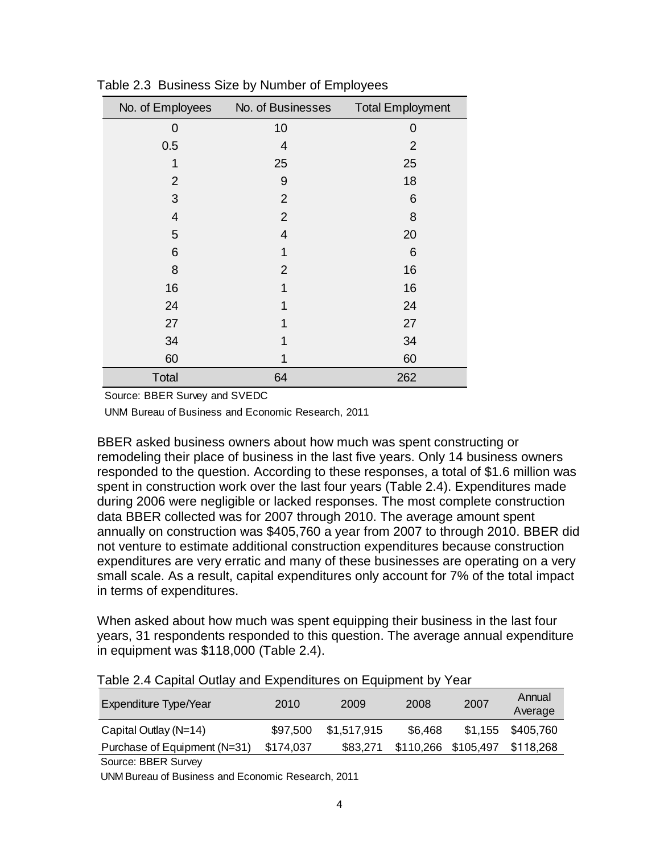| No. of Employees | No. of Businesses | <b>Total Employment</b> |
|------------------|-------------------|-------------------------|
| 0                | 10                | 0                       |
| 0.5              | 4                 | $\overline{2}$          |
| 1                | 25                | 25                      |
| $\overline{2}$   | 9                 | 18                      |
| 3                | $\overline{2}$    | 6                       |
| 4                | $\overline{2}$    | 8                       |
| 5                | $\overline{4}$    | 20                      |
| 6                | 1                 | 6                       |
| 8                | $\overline{2}$    | 16                      |
| 16               | 1                 | 16                      |
| 24               | 1                 | 24                      |
| 27               | 1                 | 27                      |
| 34               | 1                 | 34                      |
| 60               | 1                 | 60                      |
| Total            | 64                | 262                     |

<span id="page-9-0"></span>Table 2.3 Business Size by Number of Employees

Source: BBER Survey and SVEDC

UNM Bureau of Business and Economic Research, 2011

BBER asked business owners about how much was spent constructing or remodeling their place of business in the last five years. Only 14 business owners responded to the question. According to these responses, a total of \$1.6 million was spent in construction work over the last four years [\(Table](#page-9-1) 2.4). Expenditures made during 2006 were negligible or lacked responses. The most complete construction data BBER collected was for 2007 through 2010. The average amount spent annually on construction was \$405,760 a year from 2007 to through 2010. BBER did not venture to estimate additional construction expenditures because construction expenditures are very erratic and many of these businesses are operating on a very small scale. As a result, capital expenditures only account for 7% of the total impact in terms of expenditures.

When asked about how much was spent equipping their business in the last four years, 31 respondents responded to this question. The average annual expenditure in equipment was \$118,000 [\(Table](#page-9-1) 2.4).

| Expenditure Type/Year        | 2010      | 2009        | 2008    | 2007                | Annual<br>Average |
|------------------------------|-----------|-------------|---------|---------------------|-------------------|
| Capital Outlay (N=14)        | \$97,500  | \$1,517,915 | \$6,468 |                     | \$1,155 \$405,760 |
| Purchase of Equipment (N=31) | \$174,037 | \$83,271    |         | \$110,266 \$105,497 | \$118,268         |
| Source: BBER Survey          |           |             |         |                     |                   |

<span id="page-9-1"></span>Table 2.4 Capital Outlay and Expenditures on Equipment by Year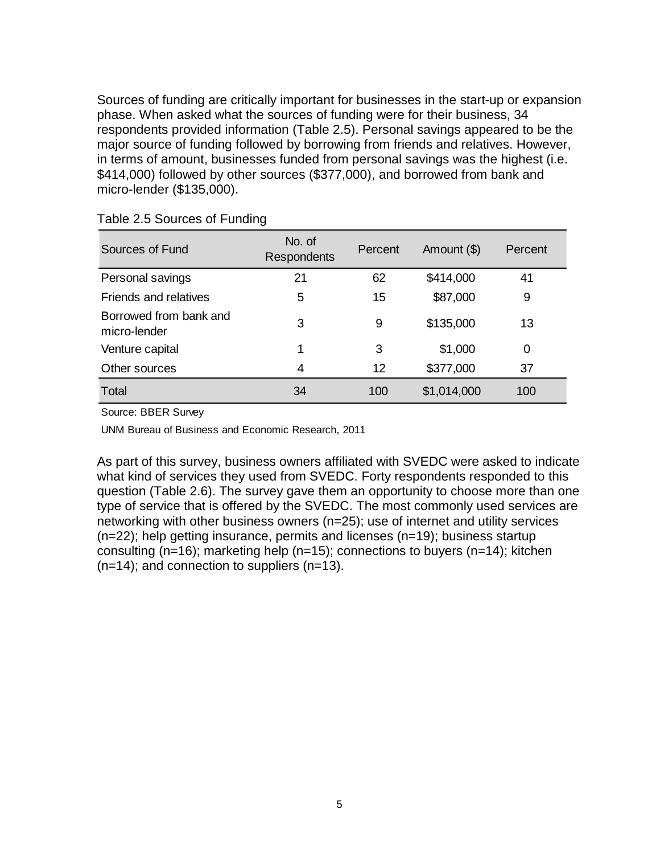Sources of funding are critically important for businesses in the start-up or expansion phase. When asked what the sources of funding were for their business, 34 respondents provided information (Table 2.5). Personal savings appeared to be the major source of funding followed by borrowing from friends and relatives. However, in terms of amount, businesses funded from personal savings was the highest (i.e. \$414,000) followed by other sources (\$377,000), and borrowed from bank and micro-lender (\$135,000).

| Sources of Fund                        | No. of<br><b>Respondents</b> | Percent | Amount (\$) | Percent |
|----------------------------------------|------------------------------|---------|-------------|---------|
| Personal savings                       | 21                           | 62      | \$414,000   | 41      |
| Friends and relatives                  | 5                            | 15      | \$87,000    | 9       |
| Borrowed from bank and<br>micro-lender | 3                            | 9       | \$135,000   | 13      |
| Venture capital                        | 1                            | 3       | \$1,000     | 0       |
| Other sources                          | 4                            | 12      | \$377,000   | 37      |
| Total                                  | 34                           | 100     | \$1,014,000 | 100     |

<span id="page-10-0"></span>Table 2.5 Sources of Funding

Source: BBER Survey

UNM Bureau of Business and Economic Research, 2011

As part of this survey, business owners affiliated with SVEDC were asked to indicate what kind of services they used from SVEDC. Forty respondents responded to this question (Table 2.6). The survey gave them an opportunity to choose more than one type of service that is offered by the SVEDC. The most commonly used services are networking with other business owners (n=25); use of internet and utility services (n=22); help getting insurance, permits and licenses (n=19); business startup consulting (n=16); marketing help (n=15); connections to buyers (n=14); kitchen  $(n=14)$ ; and connection to suppliers  $(n=13)$ .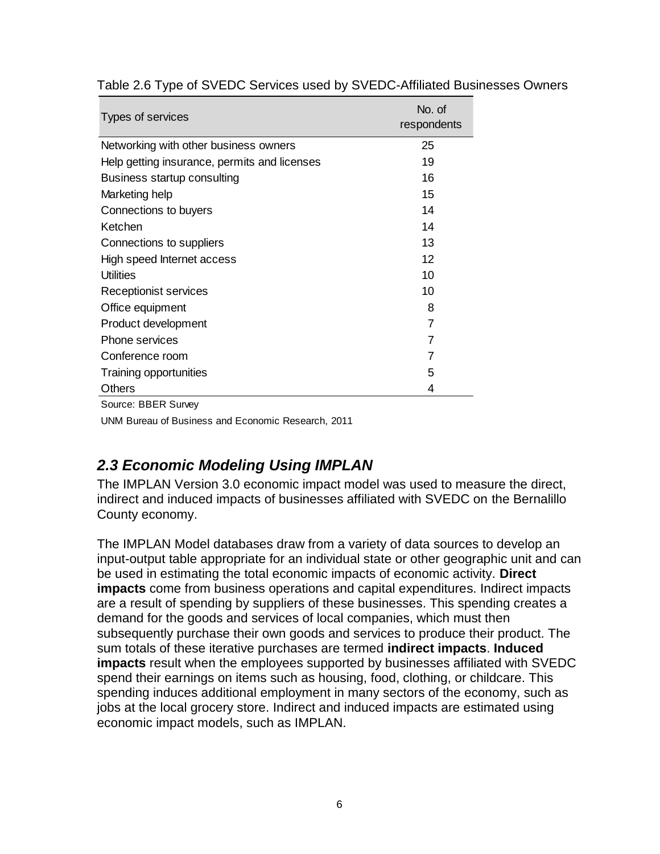| Types of services                            | No. of<br>respondents |
|----------------------------------------------|-----------------------|
| Networking with other business owners        | 25                    |
| Help getting insurance, permits and licenses | 19                    |
| Business startup consulting                  | 16                    |
| Marketing help                               | 15                    |
| Connections to buyers                        | 14                    |
| Ketchen                                      | 14                    |
| Connections to suppliers                     | 13                    |
| High speed Internet access                   | 12                    |
| <b>Utilities</b>                             | 10                    |
| Receptionist services                        | 10                    |
| Office equipment                             | 8                     |
| Product development                          | 7                     |
| Phone services                               | 7                     |
| Conference room                              | 7                     |
| Training opportunities                       | 5                     |
| Others                                       | 4                     |
| Source: BBER Survev                          |                       |

#### <span id="page-11-1"></span>Table 2.6 Type of SVEDC Services used by SVEDC-Affiliated Businesses Owners

UNM Bureau of Business and Economic Research, 2011

#### <span id="page-11-0"></span>*2.3 Economic Modeling Using IMPLAN*

The IMPLAN Version 3.0 economic impact model was used to measure the direct, indirect and induced impacts of businesses affiliated with SVEDC on the Bernalillo County economy.

The IMPLAN Model databases draw from a variety of data sources to develop an input-output table appropriate for an individual state or other geographic unit and can be used in estimating the total economic impacts of economic activity. **Direct impacts** come from business operations and capital expenditures. Indirect impacts are a result of spending by suppliers of these businesses. This spending creates a demand for the goods and services of local companies, which must then subsequently purchase their own goods and services to produce their product. The sum totals of these iterative purchases are termed **indirect impacts**. **Induced impacts** result when the employees supported by businesses affiliated with SVEDC spend their earnings on items such as housing, food, clothing, or childcare. This spending induces additional employment in many sectors of the economy, such as jobs at the local grocery store. Indirect and induced impacts are estimated using economic impact models, such as IMPLAN.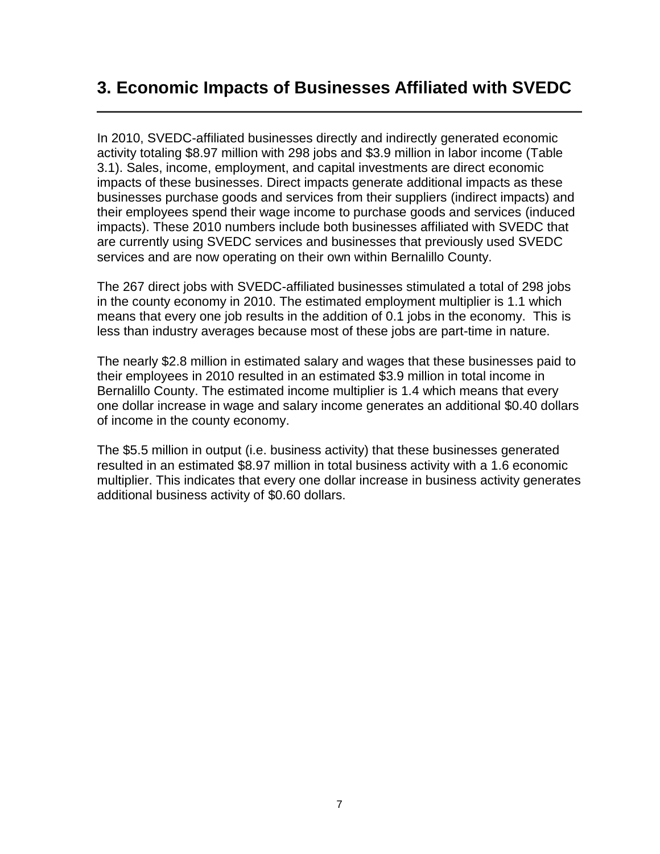### <span id="page-12-0"></span>**3. Economic Impacts of Businesses Affiliated with SVEDC**

In 2010, SVEDC-affiliated businesses directly and indirectly generated economic activity totaling \$8.97 million with 298 jobs and \$3.9 million in labor income [\(Table](#page-13-0)  [3.1\)](#page-13-0). Sales, income, employment, and capital investments are direct economic impacts of these businesses. Direct impacts generate additional impacts as these businesses purchase goods and services from their suppliers (indirect impacts) and their employees spend their wage income to purchase goods and services (induced impacts). These 2010 numbers include both businesses affiliated with SVEDC that are currently using SVEDC services and businesses that previously used SVEDC services and are now operating on their own within Bernalillo County.

The 267 direct jobs with SVEDC-affiliated businesses stimulated a total of 298 jobs in the county economy in 2010. The estimated employment multiplier is 1.1 which means that every one job results in the addition of 0.1 jobs in the economy. This is less than industry averages because most of these jobs are part-time in nature.

The nearly \$2.8 million in estimated salary and wages that these businesses paid to their employees in 2010 resulted in an estimated \$3.9 million in total income in Bernalillo County. The estimated income multiplier is 1.4 which means that every one dollar increase in wage and salary income generates an additional \$0.40 dollars of income in the county economy.

The \$5.5 million in output (i.e. business activity) that these businesses generated resulted in an estimated \$8.97 million in total business activity with a 1.6 economic multiplier. This indicates that every one dollar increase in business activity generates additional business activity of \$0.60 dollars.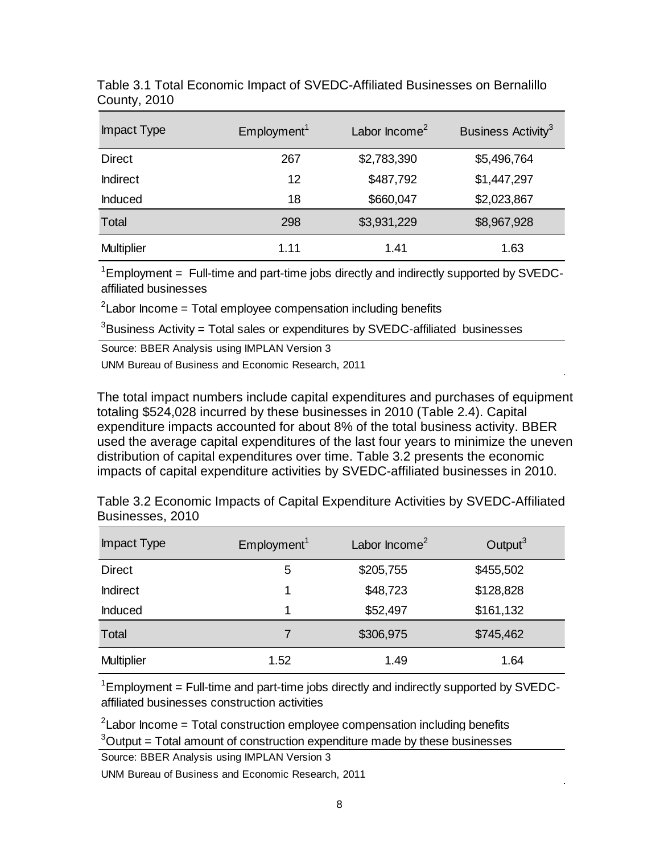| Impact Type       | Employment <sup>1</sup> | Labor Income <sup>2</sup> | Business Activity <sup>3</sup> |
|-------------------|-------------------------|---------------------------|--------------------------------|
| <b>Direct</b>     | 267                     | \$2,783,390               | \$5,496,764                    |
| <b>Indirect</b>   | 12                      | \$487,792                 | \$1,447,297                    |
| Induced           | 18                      | \$660,047                 | \$2,023,867                    |
| Total             | 298                     | \$3,931,229               | \$8,967,928                    |
| <b>Multiplier</b> | 1.11                    | 1.41                      | 1.63                           |

<span id="page-13-0"></span>Table 3.1 Total Economic Impact of SVEDC-Affiliated Businesses on Bernalillo County, 2010

 $1$ Employment = Full-time and part-time jobs directly and indirectly supported by SVEDCaffiliated businesses

 $2$ Labor Income = Total employee compensation including benefits

 $3B$ usiness Activity = Total sales or expenditures by SVEDC-affiliated businesses

Source: BBER Analysis using IMPLAN Version 3

UNM Bureau of Business and Economic Research, 2011

The total impact numbers include capital expenditures and purchases of equipment totaling \$524,028 incurred by these businesses in 2010 (Table 2.4). Capital expenditure impacts accounted for about 8% of the total business activity. BBER used the average capital expenditures of the last four years to minimize the uneven distribution of capital expenditures over time. Table 3.2 presents the economic impacts of capital expenditure activities by SVEDC-affiliated businesses in 2010.

<span id="page-13-1"></span>

| Table 3.2 Economic Impacts of Capital Expenditure Activities by SVEDC-Affiliated |  |
|----------------------------------------------------------------------------------|--|
| Businesses, 2010                                                                 |  |

| Impact Type       | Employment <sup>1</sup> | Labor Income <sup>2</sup> | Output $3$ |
|-------------------|-------------------------|---------------------------|------------|
| <b>Direct</b>     | 5                       | \$205,755                 | \$455,502  |
| <b>Indirect</b>   | 1                       | \$48,723                  | \$128,828  |
| Induced           | 1                       | \$52,497                  | \$161,132  |
| Total             |                         | \$306,975                 | \$745,462  |
| <b>Multiplier</b> | 1.52                    | 1.49                      | 1.64       |

 $1$ Employment = Full-time and part-time jobs directly and indirectly supported by SVEDCaffiliated businesses construction activities

 $2$ Labor Income = Total construction employee compensation including benefits

 $3$ Output = Total amount of construction expenditure made by these businesses

Source: BBER Analysis using IMPLAN Version 3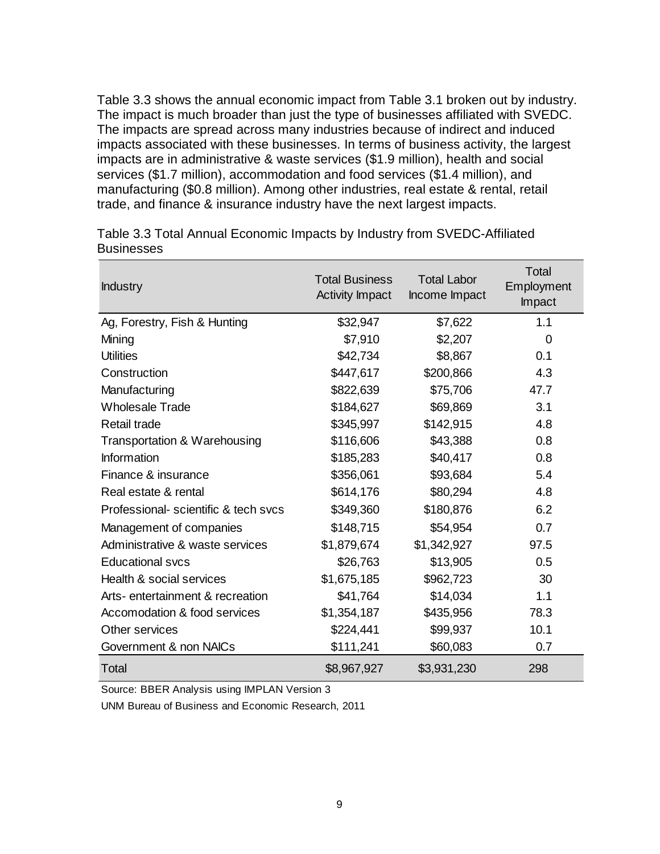[Table 3.3](#page-14-0) shows the annual economic impact from [Table 3.1](#page-13-0) broken out by industry. The impact is much broader than just the type of businesses affiliated with SVEDC. The impacts are spread across many industries because of indirect and induced impacts associated with these businesses. In terms of business activity, the largest impacts are in administrative & waste services (\$1.9 million), health and social services (\$1.7 million), accommodation and food services (\$1.4 million), and manufacturing (\$0.8 million). Among other industries, real estate & rental, retail trade, and finance & insurance industry have the next largest impacts.

| <b>Industry</b>                     | <b>Total Business</b><br><b>Activity Impact</b> | <b>Total Labor</b><br>Income Impact | Total<br>Employment<br>Impact |
|-------------------------------------|-------------------------------------------------|-------------------------------------|-------------------------------|
| Ag, Forestry, Fish & Hunting        | \$32,947                                        | \$7,622                             | 1.1                           |
| Mining                              | \$7,910                                         | \$2,207                             | 0                             |
| <b>Utilities</b>                    | \$42,734                                        | \$8,867                             | 0.1                           |
| Construction                        | \$447,617                                       | \$200,866                           | 4.3                           |
| Manufacturing                       | \$822,639                                       | \$75,706                            | 47.7                          |
| <b>Wholesale Trade</b>              | \$184,627                                       | \$69,869                            | 3.1                           |
| Retail trade                        | \$345,997                                       | \$142,915                           | 4.8                           |
| Transportation & Warehousing        | \$116,606                                       | \$43,388                            | 0.8                           |
| Information                         | \$185,283                                       | \$40,417                            | 0.8                           |
| Finance & insurance                 | \$356,061                                       | \$93,684                            | 5.4                           |
| Real estate & rental                | \$614,176                                       | \$80,294                            | 4.8                           |
| Professional-scientific & tech svcs | \$349,360                                       | \$180,876                           | 6.2                           |
| Management of companies             | \$148,715                                       | \$54,954                            | 0.7                           |
| Administrative & waste services     | \$1,879,674                                     | \$1,342,927                         | 97.5                          |
| <b>Educational svcs</b>             | \$26,763                                        | \$13,905                            | 0.5                           |
| Health & social services            | \$1,675,185                                     | \$962,723                           | 30                            |
| Arts- entertainment & recreation    | \$41,764                                        | \$14,034                            | 1.1                           |
| Accomodation & food services        | \$1,354,187                                     | \$435,956                           | 78.3                          |
| Other services                      | \$224,441                                       | \$99,937                            | 10.1                          |
| Government & non NAICs              | \$111,241                                       | \$60,083                            | 0.7                           |
| <b>Total</b>                        | \$8,967,927                                     | \$3,931,230                         | 298                           |

<span id="page-14-0"></span>Table 3.3 Total Annual Economic Impacts by Industry from SVEDC-Affiliated **Businesses** 

Source: BBER Analysis using IMPLAN Version 3